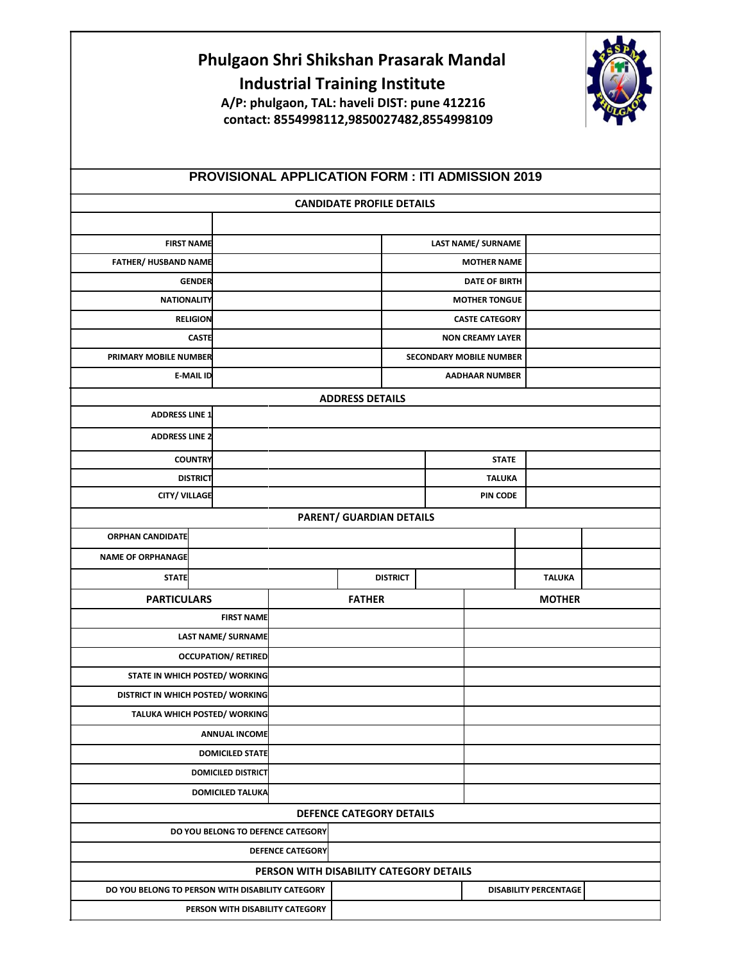|                                                              | Phulgaon Shri Shikshan Prasarak Mandal                   | <b>Industrial Training Institute</b><br>A/P: phulgaon, TAL: haveli DIST: pune 412216<br>contact: 8554998112,9850027482,8554998109 |                                  |                                                         |                      |                           |                              |  |
|--------------------------------------------------------------|----------------------------------------------------------|-----------------------------------------------------------------------------------------------------------------------------------|----------------------------------|---------------------------------------------------------|----------------------|---------------------------|------------------------------|--|
|                                                              | <b>PROVISIONAL APPLICATION FORM : ITI ADMISSION 2019</b> |                                                                                                                                   |                                  |                                                         |                      |                           |                              |  |
|                                                              |                                                          |                                                                                                                                   | <b>CANDIDATE PROFILE DETAILS</b> |                                                         |                      |                           |                              |  |
| <b>FIRST NAME</b>                                            |                                                          |                                                                                                                                   |                                  |                                                         |                      | <b>LAST NAME/ SURNAME</b> |                              |  |
| <b>FATHER/ HUSBAND NAME</b>                                  |                                                          |                                                                                                                                   |                                  |                                                         |                      | <b>MOTHER NAME</b>        |                              |  |
| <b>GENDER</b>                                                |                                                          |                                                                                                                                   | <b>DATE OF BIRTH</b>             |                                                         |                      |                           |                              |  |
| <b>NATIONALITY</b>                                           |                                                          |                                                                                                                                   |                                  |                                                         | <b>MOTHER TONGUE</b> |                           |                              |  |
|                                                              | <b>RELIGION</b>                                          |                                                                                                                                   |                                  |                                                         |                      | <b>CASTE CATEGORY</b>     |                              |  |
| <b>CASTE</b><br>PRIMARY MOBILE NUMBER                        |                                                          |                                                                                                                                   | <b>NON CREAMY LAYER</b>          |                                                         |                      |                           |                              |  |
|                                                              | <b>E-MAIL ID</b>                                         |                                                                                                                                   |                                  | <b>SECONDARY MOBILE NUMBER</b><br><b>AADHAAR NUMBER</b> |                      |                           |                              |  |
|                                                              |                                                          |                                                                                                                                   | <b>ADDRESS DETAILS</b>           |                                                         |                      |                           |                              |  |
| <b>ADDRESS LINE 1</b>                                        |                                                          |                                                                                                                                   |                                  |                                                         |                      |                           |                              |  |
| <b>ADDRESS LINE 2</b>                                        |                                                          |                                                                                                                                   |                                  |                                                         |                      |                           |                              |  |
|                                                              | <b>COUNTRY</b>                                           |                                                                                                                                   |                                  |                                                         |                      | <b>STATE</b>              |                              |  |
| <b>DISTRICT</b>                                              |                                                          |                                                                                                                                   |                                  | <b>TALUKA</b>                                           |                      |                           |                              |  |
|                                                              | <b>CITY/ VILLAGE</b>                                     |                                                                                                                                   |                                  | <b>PIN CODE</b>                                         |                      |                           |                              |  |
|                                                              |                                                          |                                                                                                                                   | PARENT/ GUARDIAN DETAILS         |                                                         |                      |                           |                              |  |
| <b>ORPHAN CANDIDATE</b>                                      |                                                          |                                                                                                                                   |                                  |                                                         |                      |                           |                              |  |
| <b>NAME OF ORPHANAGE</b>                                     |                                                          |                                                                                                                                   |                                  |                                                         |                      |                           |                              |  |
| <b>STATE</b>                                                 |                                                          |                                                                                                                                   |                                  | <b>DISTRICT</b>                                         |                      |                           | <b>TALUKA</b>                |  |
| <b>PARTICULARS</b>                                           |                                                          |                                                                                                                                   | <b>FATHER</b>                    |                                                         |                      |                           | <b>MOTHER</b>                |  |
|                                                              | <b>FIRST NAME</b>                                        |                                                                                                                                   |                                  |                                                         |                      |                           |                              |  |
| <b>LAST NAME/ SURNAME</b>                                    |                                                          |                                                                                                                                   |                                  |                                                         |                      |                           |                              |  |
| <b>OCCUPATION/ RETIRED</b><br>STATE IN WHICH POSTED/ WORKING |                                                          |                                                                                                                                   |                                  |                                                         |                      |                           |                              |  |
| DISTRICT IN WHICH POSTED/ WORKING                            |                                                          |                                                                                                                                   |                                  |                                                         |                      |                           |                              |  |
| TALUKA WHICH POSTED/ WORKING                                 |                                                          |                                                                                                                                   |                                  |                                                         |                      |                           |                              |  |
| <b>ANNUAL INCOME</b>                                         |                                                          |                                                                                                                                   |                                  |                                                         |                      |                           |                              |  |
|                                                              | <b>DOMICILED STATE</b>                                   |                                                                                                                                   |                                  |                                                         |                      |                           |                              |  |
| <b>DOMICILED DISTRICT</b>                                    |                                                          |                                                                                                                                   |                                  |                                                         |                      |                           |                              |  |
|                                                              | <b>DOMICILED TALUKA</b>                                  |                                                                                                                                   |                                  |                                                         |                      |                           |                              |  |
|                                                              |                                                          |                                                                                                                                   | <b>DEFENCE CATEGORY DETAILS</b>  |                                                         |                      |                           |                              |  |
|                                                              | DO YOU BELONG TO DEFENCE CATEGORY                        |                                                                                                                                   |                                  |                                                         |                      |                           |                              |  |
|                                                              |                                                          | <b>DEFENCE CATEGORY</b>                                                                                                           |                                  |                                                         |                      |                           |                              |  |
|                                                              |                                                          | PERSON WITH DISABILITY CATEGORY DETAILS                                                                                           |                                  |                                                         |                      |                           |                              |  |
| DO YOU BELONG TO PERSON WITH DISABILITY CATEGORY             |                                                          | PERSON WITH DISABILITY CATEGORY                                                                                                   |                                  |                                                         |                      |                           | <b>DISABILITY PERCENTAGE</b> |  |